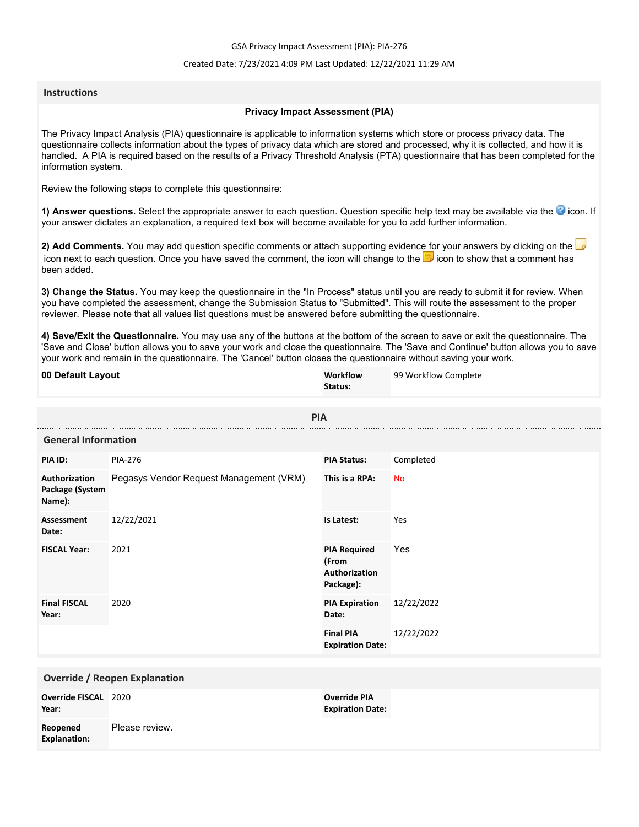GSA Privacy Impact Assessment (PIA): PIA-276

## Created Date: 7/23/2021 4:09 PM Last Updated: 12/22/2021 11:29 AM

## **Instructions**

## **Privacy Impact Assessment (PIA)**

The Privacy Impact Analysis (PIA) questionnaire is applicable to information systems which store or process privacy data. The questionnaire collects information about the types of privacy data which are stored and processed, why it is collected, and how it is handled. A PIA is required based on the results of a Privacy Threshold Analysis (PTA) questionnaire that has been completed for the information system.

Review the following steps to complete this questionnaire:

1) Answer questions. Select the appropriate answer to each question. Question specific help text may be available via the <sup>3</sup> icon. If your answer dictates an explanation, a required text box will become available for you to add further information.

**2) Add Comments.** You may add question specific comments or attach supporting evidence for your answers by clicking on the icon next to each question. Once you have saved the comment, the icon will change to the **i** icon to show that a comment has been added.

**3) Change the Status.** You may keep the questionnaire in the "In Process" status until you are ready to submit it for review. When you have completed the assessment, change the Submission Status to "Submitted". This will route the assessment to the proper reviewer. Please note that all values list questions must be answered before submitting the questionnaire.

**4) Save/Exit the Questionnaire.** You may use any of the buttons at the bottom of the screen to save or exit the questionnaire. The 'Save and Close' button allows you to save your work and close the questionnaire. The 'Save and Continue' button allows you to save your work and remain in the questionnaire. The 'Cancel' button closes the questionnaire without saving your work.

| 00 Default Layout                          |                                         | Workflow<br>Status:                                        | 99 Workflow Complete |
|--------------------------------------------|-----------------------------------------|------------------------------------------------------------|----------------------|
|                                            | <b>PIA</b>                              |                                                            |                      |
| <b>General Information</b>                 |                                         |                                                            |                      |
| PIA ID:                                    | PIA-276                                 | <b>PIA Status:</b>                                         | Completed            |
| Authorization<br>Package (System<br>Name): | Pegasys Vendor Request Management (VRM) | This is a RPA:                                             | <b>No</b>            |
| Assessment<br>Date:                        | 12/22/2021                              | Is Latest:                                                 | Yes                  |
| <b>FISCAL Year:</b>                        | 2021                                    | <b>PIA Required</b><br>(From<br>Authorization<br>Package): | Yes                  |
| <b>Final FISCAL</b><br>Year:               | 2020                                    | <b>PIA Expiration</b><br>Date:                             | 12/22/2022           |
|                                            |                                         | <b>Final PIA</b><br><b>Expiration Date:</b>                | 12/22/2022           |
|                                            |                                         |                                                            |                      |
| <b>Override / Reopen Explanation</b>       |                                         |                                                            |                      |
| Override FISCAL 2020<br>Year:              |                                         | <b>Override PIA</b><br><b>Expiration Date:</b>             |                      |
| Reopened<br><b>Explanation:</b>            | Please review.                          |                                                            |                      |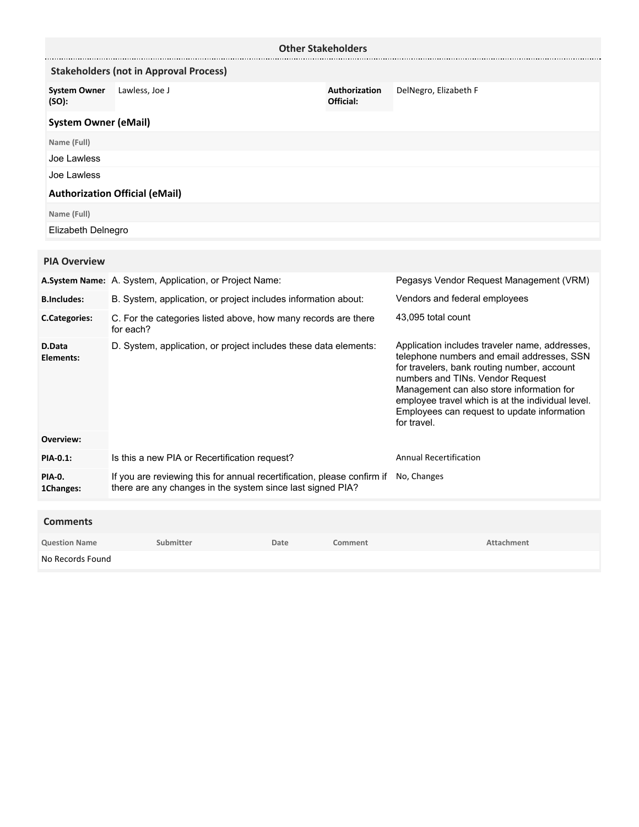|                              |                                                                             | <b>Other Stakeholders</b>  |                                                                                                                                                                                                                                                                                                                                                 |
|------------------------------|-----------------------------------------------------------------------------|----------------------------|-------------------------------------------------------------------------------------------------------------------------------------------------------------------------------------------------------------------------------------------------------------------------------------------------------------------------------------------------|
|                              | <b>Stakeholders (not in Approval Process)</b>                               |                            |                                                                                                                                                                                                                                                                                                                                                 |
| <b>System Owner</b><br>(SO): | Lawless, Joe J                                                              | Authorization<br>Official: | DelNegro, Elizabeth F                                                                                                                                                                                                                                                                                                                           |
| <b>System Owner (eMail)</b>  |                                                                             |                            |                                                                                                                                                                                                                                                                                                                                                 |
| Name (Full)                  |                                                                             |                            |                                                                                                                                                                                                                                                                                                                                                 |
| Joe Lawless                  |                                                                             |                            |                                                                                                                                                                                                                                                                                                                                                 |
| Joe Lawless                  |                                                                             |                            |                                                                                                                                                                                                                                                                                                                                                 |
|                              | <b>Authorization Official (eMail)</b>                                       |                            |                                                                                                                                                                                                                                                                                                                                                 |
| Name (Full)                  |                                                                             |                            |                                                                                                                                                                                                                                                                                                                                                 |
| Elizabeth Delnegro           |                                                                             |                            |                                                                                                                                                                                                                                                                                                                                                 |
| <b>PIA Overview</b>          |                                                                             |                            |                                                                                                                                                                                                                                                                                                                                                 |
|                              | A.System Name: A. System, Application, or Project Name:                     |                            | Pegasys Vendor Request Management (VRM)                                                                                                                                                                                                                                                                                                         |
|                              |                                                                             |                            | Vendors and federal employees                                                                                                                                                                                                                                                                                                                   |
| <b>B.Includes:</b>           | B. System, application, or project includes information about:              |                            |                                                                                                                                                                                                                                                                                                                                                 |
| <b>C.Categories:</b>         | C. For the categories listed above, how many records are there<br>for each? |                            | 43,095 total count                                                                                                                                                                                                                                                                                                                              |
| <b>D.Data</b><br>Elements:   | D. System, application, or project includes these data elements:            |                            | Application includes traveler name, addresses,<br>telephone numbers and email addresses, SSN<br>for travelers, bank routing number, account<br>numbers and TINs. Vendor Request<br>Management can also store information for<br>employee travel which is at the individual level.<br>Employees can request to update information<br>for travel. |
| Overview:                    |                                                                             |                            |                                                                                                                                                                                                                                                                                                                                                 |
| <b>PIA-0.1:</b>              | Is this a new PIA or Recertification request?                               |                            | <b>Annual Recertification</b>                                                                                                                                                                                                                                                                                                                   |

If you are reviewing this for annual recertification, please confirm if No, Changes there are any changes in the system since last signed PIA? **PIA-0. 1Changes:**

| <b>Comments</b>      |           |      |         |            |
|----------------------|-----------|------|---------|------------|
| <b>Question Name</b> | Submitter | Date | Comment | Attachment |
| No Records Found     |           |      |         |            |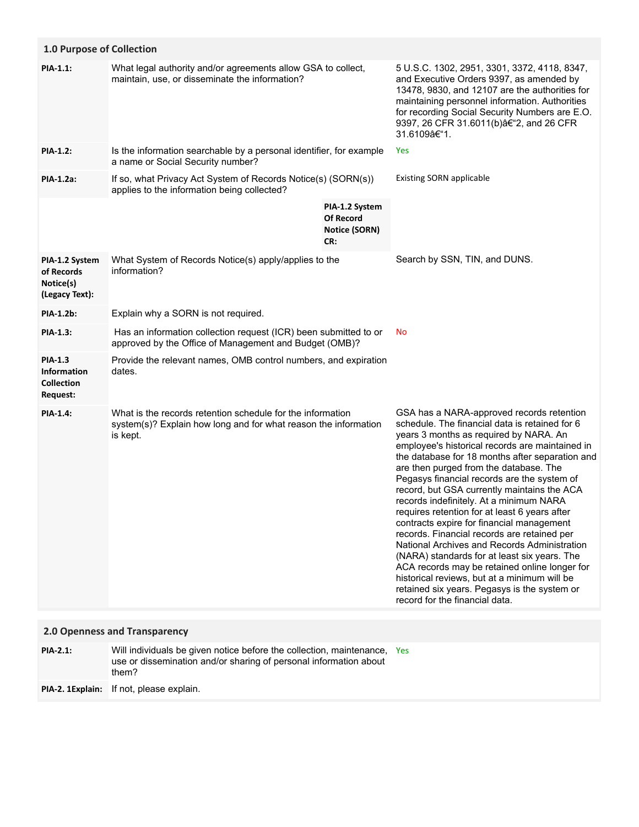| 1.0 Purpose of Collection                                             |                                                                                                                                                        |                                                            |                                                                                                                                                                                                                                                                                                                                                                                                                                                                                                                                                                                                                                                                                                                                                                                                                                                                |
|-----------------------------------------------------------------------|--------------------------------------------------------------------------------------------------------------------------------------------------------|------------------------------------------------------------|----------------------------------------------------------------------------------------------------------------------------------------------------------------------------------------------------------------------------------------------------------------------------------------------------------------------------------------------------------------------------------------------------------------------------------------------------------------------------------------------------------------------------------------------------------------------------------------------------------------------------------------------------------------------------------------------------------------------------------------------------------------------------------------------------------------------------------------------------------------|
| PIA-1.1:                                                              | What legal authority and/or agreements allow GSA to collect,<br>maintain, use, or disseminate the information?                                         |                                                            | 5 U.S.C. 1302, 2951, 3301, 3372, 4118, 8347,<br>and Executive Orders 9397, as amended by<br>13478, 9830, and 12107 are the authorities for<br>maintaining personnel information. Authorities<br>for recording Social Security Numbers are E.O.<br>9397, 26 CFR 31.6011(b) †2, and 26 CFR<br>31.6109–1.                                                                                                                                                                                                                                                                                                                                                                                                                                                                                                                                                         |
| <b>PIA-1.2:</b>                                                       | Is the information searchable by a personal identifier, for example<br>a name or Social Security number?                                               |                                                            | Yes                                                                                                                                                                                                                                                                                                                                                                                                                                                                                                                                                                                                                                                                                                                                                                                                                                                            |
| PIA-1.2a:                                                             | If so, what Privacy Act System of Records Notice(s) (SORN(s))<br>applies to the information being collected?                                           |                                                            | <b>Existing SORN applicable</b>                                                                                                                                                                                                                                                                                                                                                                                                                                                                                                                                                                                                                                                                                                                                                                                                                                |
|                                                                       |                                                                                                                                                        | PIA-1.2 System<br><b>Of Record</b><br>Notice (SORN)<br>CR: |                                                                                                                                                                                                                                                                                                                                                                                                                                                                                                                                                                                                                                                                                                                                                                                                                                                                |
| PIA-1.2 System<br>of Records<br>Notice(s)<br>(Legacy Text):           | What System of Records Notice(s) apply/applies to the<br>information?                                                                                  |                                                            | Search by SSN, TIN, and DUNS.                                                                                                                                                                                                                                                                                                                                                                                                                                                                                                                                                                                                                                                                                                                                                                                                                                  |
| <b>PIA-1.2b:</b>                                                      | Explain why a SORN is not required.                                                                                                                    |                                                            |                                                                                                                                                                                                                                                                                                                                                                                                                                                                                                                                                                                                                                                                                                                                                                                                                                                                |
| <b>PIA-1.3:</b>                                                       | Has an information collection request (ICR) been submitted to or<br>approved by the Office of Management and Budget (OMB)?                             |                                                            | No                                                                                                                                                                                                                                                                                                                                                                                                                                                                                                                                                                                                                                                                                                                                                                                                                                                             |
| <b>PIA-1.3</b><br><b>Information</b><br><b>Collection</b><br>Request: | Provide the relevant names, OMB control numbers, and expiration<br>dates.                                                                              |                                                            |                                                                                                                                                                                                                                                                                                                                                                                                                                                                                                                                                                                                                                                                                                                                                                                                                                                                |
| <b>PIA-1.4:</b>                                                       | What is the records retention schedule for the information<br>system(s)? Explain how long and for what reason the information<br>is kept.              |                                                            | GSA has a NARA-approved records retention<br>schedule. The financial data is retained for 6<br>years 3 months as required by NARA. An<br>employee's historical records are maintained in<br>the database for 18 months after separation and<br>are then purged from the database. The<br>Pegasys financial records are the system of<br>record, but GSA currently maintains the ACA<br>records indefinitely. At a minimum NARA<br>requires retention for at least 6 years after<br>contracts expire for financial management<br>records. Financial records are retained per<br>National Archives and Records Administration<br>(NARA) standards for at least six years. The<br>ACA records may be retained online longer for<br>historical reviews, but at a minimum will be<br>retained six years. Pegasys is the system or<br>record for the financial data. |
| 2.0 Openness and Transparency                                         |                                                                                                                                                        |                                                            |                                                                                                                                                                                                                                                                                                                                                                                                                                                                                                                                                                                                                                                                                                                                                                                                                                                                |
| <b>PIA-2.1:</b>                                                       | Will individuals be given notice before the collection, maintenance, Yes<br>use or dissemination and/or sharing of personal information about<br>them? |                                                            |                                                                                                                                                                                                                                                                                                                                                                                                                                                                                                                                                                                                                                                                                                                                                                                                                                                                |

**PIA-2. 1Explain:** If not, please explain.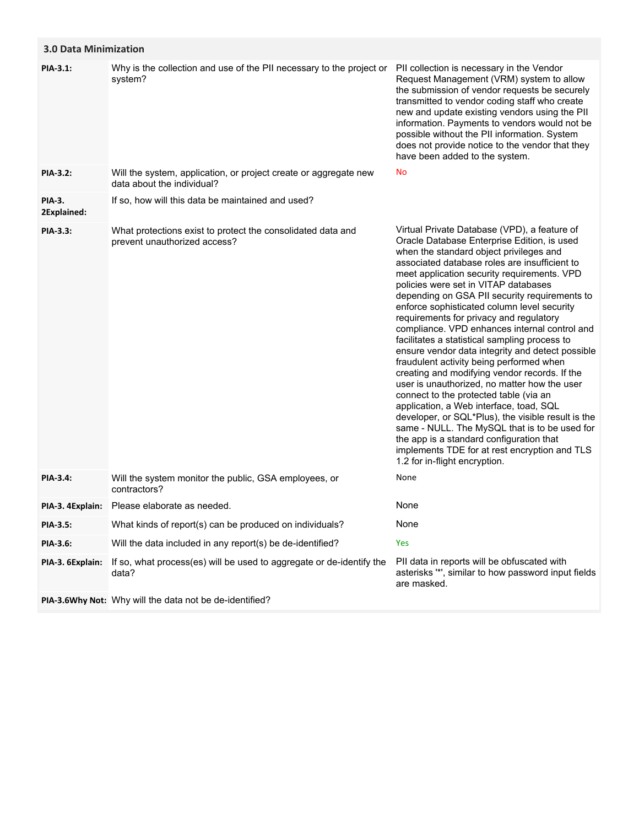| <b>3.0 Data Minimization</b> |                                                                                                |                                                                                                                                                                                                                                                                                                                                                                                                                                                                                                                                                                                                                                                                                                                                                                                                                                                                                                                                                                                                                                                        |
|------------------------------|------------------------------------------------------------------------------------------------|--------------------------------------------------------------------------------------------------------------------------------------------------------------------------------------------------------------------------------------------------------------------------------------------------------------------------------------------------------------------------------------------------------------------------------------------------------------------------------------------------------------------------------------------------------------------------------------------------------------------------------------------------------------------------------------------------------------------------------------------------------------------------------------------------------------------------------------------------------------------------------------------------------------------------------------------------------------------------------------------------------------------------------------------------------|
| PIA-3.1:                     | Why is the collection and use of the PII necessary to the project or<br>system?                | PII collection is necessary in the Vendor<br>Request Management (VRM) system to allow<br>the submission of vendor requests be securely<br>transmitted to vendor coding staff who create<br>new and update existing vendors using the PII<br>information. Payments to vendors would not be<br>possible without the PII information. System<br>does not provide notice to the vendor that they<br>have been added to the system.                                                                                                                                                                                                                                                                                                                                                                                                                                                                                                                                                                                                                         |
| PIA-3.2:                     | Will the system, application, or project create or aggregate new<br>data about the individual? | No                                                                                                                                                                                                                                                                                                                                                                                                                                                                                                                                                                                                                                                                                                                                                                                                                                                                                                                                                                                                                                                     |
| PIA-3.<br>2Explained:        | If so, how will this data be maintained and used?                                              |                                                                                                                                                                                                                                                                                                                                                                                                                                                                                                                                                                                                                                                                                                                                                                                                                                                                                                                                                                                                                                                        |
| PIA-3.3:                     | What protections exist to protect the consolidated data and<br>prevent unauthorized access?    | Virtual Private Database (VPD), a feature of<br>Oracle Database Enterprise Edition, is used<br>when the standard object privileges and<br>associated database roles are insufficient to<br>meet application security requirements. VPD<br>policies were set in VITAP databases<br>depending on GSA PII security requirements to<br>enforce sophisticated column level security<br>requirements for privacy and regulatory<br>compliance. VPD enhances internal control and<br>facilitates a statistical sampling process to<br>ensure vendor data integrity and detect possible<br>fraudulent activity being performed when<br>creating and modifying vendor records. If the<br>user is unauthorized, no matter how the user<br>connect to the protected table (via an<br>application, a Web interface, toad, SQL<br>developer, or SQL*Plus), the visible result is the<br>same - NULL. The MySQL that is to be used for<br>the app is a standard configuration that<br>implements TDE for at rest encryption and TLS<br>1.2 for in-flight encryption. |
| PIA-3.4:                     | Will the system monitor the public, GSA employees, or<br>contractors?                          | None                                                                                                                                                                                                                                                                                                                                                                                                                                                                                                                                                                                                                                                                                                                                                                                                                                                                                                                                                                                                                                                   |
| PIA-3. 4Explain:             | Please elaborate as needed.                                                                    | None                                                                                                                                                                                                                                                                                                                                                                                                                                                                                                                                                                                                                                                                                                                                                                                                                                                                                                                                                                                                                                                   |
| <b>PIA-3.5:</b>              | What kinds of report(s) can be produced on individuals?                                        | None                                                                                                                                                                                                                                                                                                                                                                                                                                                                                                                                                                                                                                                                                                                                                                                                                                                                                                                                                                                                                                                   |
| PIA-3.6:                     | Will the data included in any report(s) be de-identified?                                      | Yes                                                                                                                                                                                                                                                                                                                                                                                                                                                                                                                                                                                                                                                                                                                                                                                                                                                                                                                                                                                                                                                    |
| PIA-3. 6Explain:             | If so, what process(es) will be used to aggregate or de-identify the<br>data?                  | PII data in reports will be obfuscated with<br>asterisks "*', similar to how password input fields<br>are masked.                                                                                                                                                                                                                                                                                                                                                                                                                                                                                                                                                                                                                                                                                                                                                                                                                                                                                                                                      |
|                              | PIA-3.6Why Not: Why will the data not be de-identified?                                        |                                                                                                                                                                                                                                                                                                                                                                                                                                                                                                                                                                                                                                                                                                                                                                                                                                                                                                                                                                                                                                                        |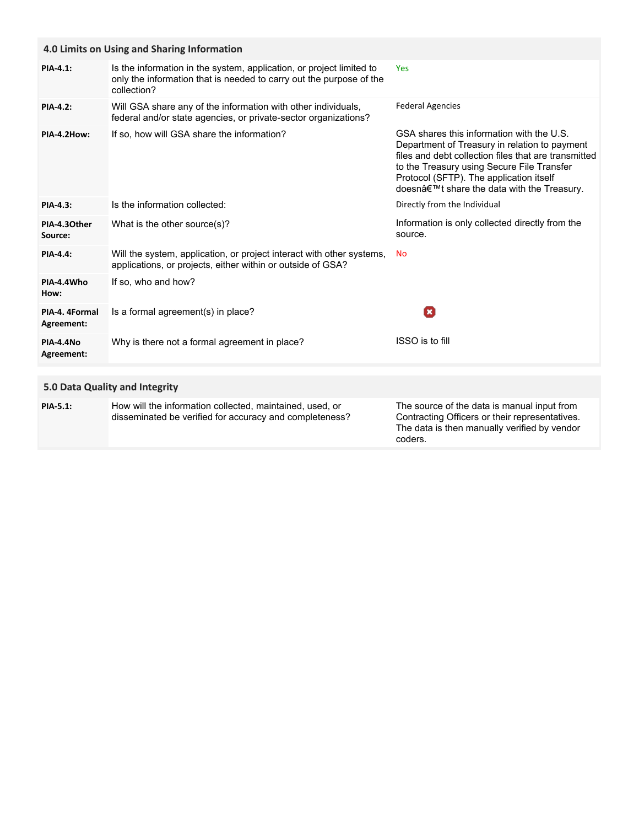|                                | 4.0 Limits on Using and Sharing Information                                                                                                                |                                                                                                                                                                                                                                                                                          |
|--------------------------------|------------------------------------------------------------------------------------------------------------------------------------------------------------|------------------------------------------------------------------------------------------------------------------------------------------------------------------------------------------------------------------------------------------------------------------------------------------|
| PIA-4.1:                       | Is the information in the system, application, or project limited to<br>only the information that is needed to carry out the purpose of the<br>collection? | Yes                                                                                                                                                                                                                                                                                      |
| <b>PIA-4.2:</b>                | Will GSA share any of the information with other individuals,<br>federal and/or state agencies, or private-sector organizations?                           | <b>Federal Agencies</b>                                                                                                                                                                                                                                                                  |
| PIA-4.2How:                    | If so, how will GSA share the information?                                                                                                                 | GSA shares this information with the U.S.<br>Department of Treasury in relation to payment<br>files and debt collection files that are transmitted<br>to the Treasury using Secure File Transfer<br>Protocol (SFTP). The application itself<br>doesn't share the data with the Treasury. |
| <b>PIA-4.3:</b>                | Is the information collected:                                                                                                                              | Directly from the Individual                                                                                                                                                                                                                                                             |
| PIA-4.30ther<br>Source:        | What is the other source(s)?                                                                                                                               | Information is only collected directly from the<br>source.                                                                                                                                                                                                                               |
| <b>PIA-4.4:</b>                | Will the system, application, or project interact with other systems,<br>applications, or projects, either within or outside of GSA?                       | No                                                                                                                                                                                                                                                                                       |
| PIA-4.4Who<br>How:             | If so, who and how?                                                                                                                                        |                                                                                                                                                                                                                                                                                          |
| PIA-4. 4Formal<br>Agreement:   | Is a formal agreement(s) in place?                                                                                                                         | O                                                                                                                                                                                                                                                                                        |
| <b>PIA-4.4No</b><br>Agreement: | Why is there not a formal agreement in place?                                                                                                              | ISSO is to fill                                                                                                                                                                                                                                                                          |
|                                |                                                                                                                                                            |                                                                                                                                                                                                                                                                                          |
|                                | 5.0 Data Quality and Integrity                                                                                                                             |                                                                                                                                                                                                                                                                                          |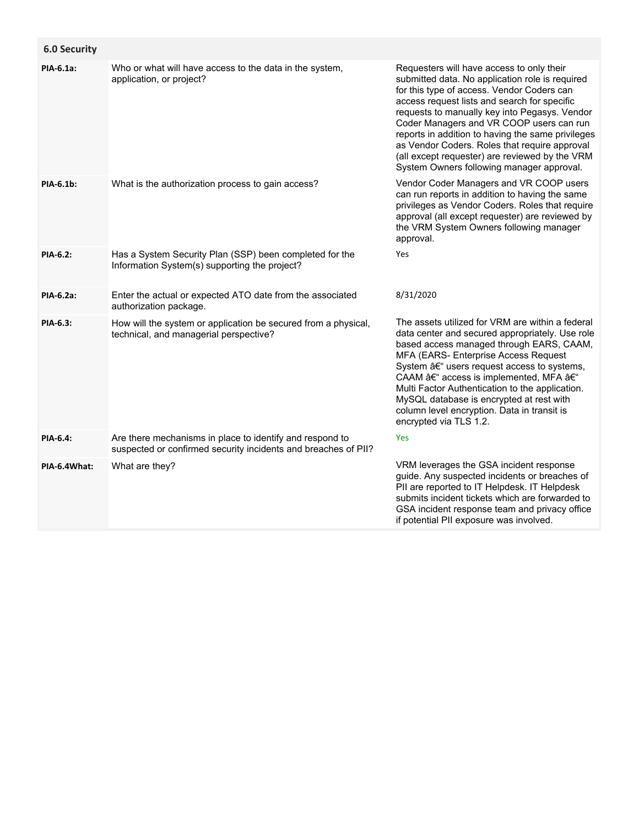| <b>6.0 Security</b> |                                                                                                                            |                                                                                                                                                                                                                                                                                                                                                                                                                                                                                              |
|---------------------|----------------------------------------------------------------------------------------------------------------------------|----------------------------------------------------------------------------------------------------------------------------------------------------------------------------------------------------------------------------------------------------------------------------------------------------------------------------------------------------------------------------------------------------------------------------------------------------------------------------------------------|
| PIA-6.1a:           | Who or what will have access to the data in the system,<br>application, or project?                                        | Requesters will have access to only their<br>submitted data. No application role is required<br>for this type of access. Vendor Coders can<br>access request lists and search for specific<br>requests to manually key into Pegasys. Vendor<br>Coder Managers and VR COOP users can run<br>reports in addition to having the same privileges<br>as Vendor Coders. Roles that require approval<br>(all except requester) are reviewed by the VRM<br>System Owners following manager approval. |
| PIA-6.1b:           | What is the authorization process to gain access?                                                                          | Vendor Coder Managers and VR COOP users<br>can run reports in addition to having the same<br>privileges as Vendor Coders. Roles that require<br>approval (all except requester) are reviewed by<br>the VRM System Owners following manager<br>approval.                                                                                                                                                                                                                                      |
| PIA-6.2:            | Has a System Security Plan (SSP) been completed for the<br>Information System(s) supporting the project?                   | Yes                                                                                                                                                                                                                                                                                                                                                                                                                                                                                          |
| PIA-6.2a:           | Enter the actual or expected ATO date from the associated<br>authorization package.                                        | 8/31/2020                                                                                                                                                                                                                                                                                                                                                                                                                                                                                    |
| PIA-6.3:            | How will the system or application be secured from a physical,<br>technical, and managerial perspective?                   | The assets utilized for VRM are within a federal<br>data center and secured appropriately. Use role<br>based access managed through EARS, CAAM,<br>MFA (EARS- Enterprise Access Request<br>System – users request access to systems,<br>CAAM – access is implemented, MFA –<br>Multi Factor Authentication to the application.<br>MySQL database is encrypted at rest with<br>column level encryption. Data in transit is<br>encrypted via TLS 1.2.                                          |
| PIA-6.4:            | Are there mechanisms in place to identify and respond to<br>suspected or confirmed security incidents and breaches of PII? | Yes                                                                                                                                                                                                                                                                                                                                                                                                                                                                                          |
| PIA-6.4What:        | What are they?                                                                                                             | VRM leverages the GSA incident response<br>guide. Any suspected incidents or breaches of<br>PII are reported to IT Helpdesk. IT Helpdesk<br>submits incident tickets which are forwarded to<br>GSA incident response team and privacy office<br>if potential PII exposure was involved.                                                                                                                                                                                                      |